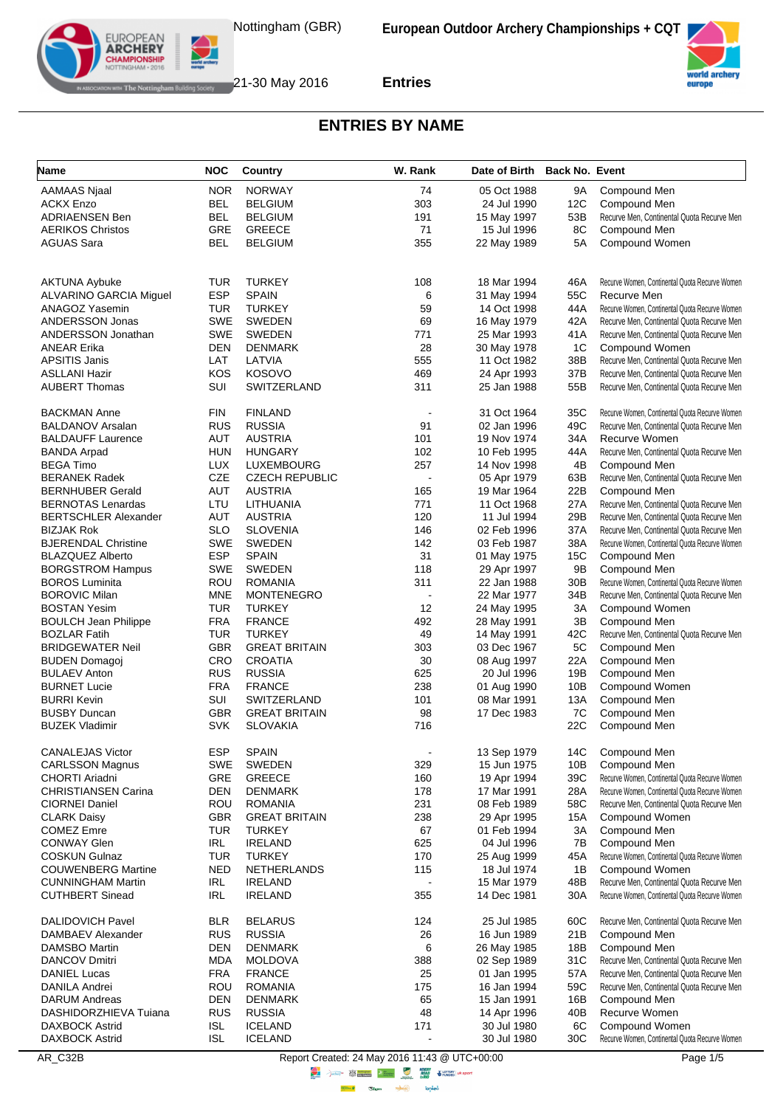



#### **ENTRIES BY NAME**

| Name                                       | <b>NOC</b>               | Country                        | W. Rank                  | Date of Birth Back No. Event |            |                                                |
|--------------------------------------------|--------------------------|--------------------------------|--------------------------|------------------------------|------------|------------------------------------------------|
| <b>AAMAAS Njaal</b>                        | <b>NOR</b>               | <b>NORWAY</b>                  | 74                       | 05 Oct 1988                  | 9Α         | Compound Men                                   |
| <b>ACKX Enzo</b>                           | <b>BEL</b>               | <b>BELGIUM</b>                 | 303                      | 24 Jul 1990                  | 12C        | Compound Men                                   |
| <b>ADRIAENSEN Ben</b>                      | <b>BEL</b>               | <b>BELGIUM</b>                 | 191                      | 15 May 1997                  | 53B        | Recurve Men, Continental Quota Recurve Men     |
| <b>AERIKOS Christos</b>                    | GRE                      | <b>GREECE</b>                  | 71                       | 15 Jul 1996                  | 8C         | Compound Men                                   |
| <b>AGUAS Sara</b>                          | <b>BEL</b>               | <b>BELGIUM</b>                 | 355                      | 22 May 1989                  | 5A         | Compound Women                                 |
|                                            |                          |                                |                          |                              |            |                                                |
| <b>AKTUNA Aybuke</b>                       | TUR                      | <b>TURKEY</b>                  | 108                      | 18 Mar 1994                  | 46A        | Recurve Women, Continental Quota Recurve Women |
| <b>ALVARINO GARCIA Miguel</b>              | <b>ESP</b>               | <b>SPAIN</b>                   | 6                        | 31 May 1994                  | 55C        | Recurve Men                                    |
| ANAGOZ Yasemin                             | <b>TUR</b>               | <b>TURKEY</b>                  | 59                       | 14 Oct 1998                  | 44A        | Recurve Women, Continental Quota Recurve Women |
| ANDERSSON Jonas                            | <b>SWE</b>               | <b>SWEDEN</b>                  | 69                       | 16 May 1979                  | 42A        | Recurve Men, Continental Quota Recurve Men     |
| ANDERSSON Jonathan                         | <b>SWE</b>               | <b>SWEDEN</b>                  | 771                      | 25 Mar 1993                  | 41A        | Recurve Men, Continental Quota Recurve Men     |
| <b>ANEAR Erika</b>                         | DEN                      | <b>DENMARK</b>                 | 28                       | 30 May 1978                  | 1C         | Compound Women                                 |
| <b>APSITIS Janis</b>                       | LAT                      | LATVIA                         | 555                      | 11 Oct 1982                  | 38B        | Recurve Men, Continental Quota Recurve Men     |
| <b>ASLLANI Hazir</b>                       | KOS                      | <b>KOSOVO</b>                  | 469                      | 24 Apr 1993                  | 37B        | Recurve Men, Continental Quota Recurve Men     |
| <b>AUBERT Thomas</b>                       | <b>SUI</b>               | SWITZERLAND                    | 311                      | 25 Jan 1988                  | 55B        | Recurve Men, Continental Quota Recurve Men     |
| <b>BACKMAN Anne</b>                        | <b>FIN</b>               | <b>FINLAND</b>                 | $\overline{\phantom{a}}$ | 31 Oct 1964                  | 35C        | Recurve Women, Continental Quota Recurve Women |
| <b>BALDANOV Arsalan</b>                    | <b>RUS</b>               | <b>RUSSIA</b>                  | 91                       | 02 Jan 1996                  | 49C        | Recurve Men, Continental Quota Recurve Men     |
| <b>BALDAUFF Laurence</b>                   | <b>AUT</b>               | <b>AUSTRIA</b>                 | 101                      | 19 Nov 1974                  | 34A        | Recurve Women                                  |
| <b>BANDA Arpad</b>                         | HUN                      | <b>HUNGARY</b>                 | 102                      | 10 Feb 1995                  | 44A        | Recurve Men, Continental Quota Recurve Men     |
| <b>BEGA Timo</b>                           | <b>LUX</b>               | LUXEMBOURG                     | 257                      | 14 Nov 1998                  | 4B         | Compound Men                                   |
| <b>BERANEK Radek</b>                       | CZE                      | <b>CZECH REPUBLIC</b>          | ÷,                       | 05 Apr 1979                  | 63B        | Recurve Men, Continental Quota Recurve Men     |
| <b>BERNHUBER Gerald</b>                    | AUT                      | <b>AUSTRIA</b>                 | 165                      | 19 Mar 1964                  | 22B        | Compound Men                                   |
| <b>BERNOTAS Lenardas</b>                   | LTU                      | LITHUANIA                      | 771                      | 11 Oct 1968                  | 27A        | Recurve Men, Continental Quota Recurve Men     |
| <b>BERTSCHLER Alexander</b>                | <b>AUT</b>               | <b>AUSTRIA</b>                 | 120                      | 11 Jul 1994                  | 29B        | Recurve Men, Continental Quota Recurve Men     |
| <b>BIZJAK Rok</b>                          | <b>SLO</b>               | <b>SLOVENIA</b>                | 146                      | 02 Feb 1996                  | 37A        | Recurve Men, Continental Quota Recurve Men     |
| <b>BJERENDAL Christine</b>                 | <b>SWE</b>               | <b>SWEDEN</b>                  | 142                      | 03 Feb 1987                  | 38A        | Recurve Women, Continental Quota Recurve Women |
| <b>BLAZQUEZ Alberto</b>                    | <b>ESP</b>               | <b>SPAIN</b>                   | 31                       | 01 May 1975                  | 15C        | Compound Men                                   |
| <b>BORGSTROM Hampus</b>                    | <b>SWE</b>               | <b>SWEDEN</b>                  | 118                      | 29 Apr 1997                  | 9B         | Compound Men                                   |
| <b>BOROS Luminita</b>                      | ROU                      | <b>ROMANIA</b>                 | 311                      | 22 Jan 1988                  | 30B        | Recurve Women, Continental Quota Recurve Women |
| <b>BOROVIC Milan</b>                       | <b>MNE</b>               | MONTENEGRO                     |                          | 22 Mar 1977                  | 34B        | Recurve Men, Continental Quota Recurve Men     |
| <b>BOSTAN Yesim</b>                        | <b>TUR</b>               | <b>TURKEY</b>                  | 12                       | 24 May 1995                  | 3A         | Compound Women                                 |
| <b>BOULCH Jean Philippe</b>                | <b>FRA</b>               | <b>FRANCE</b>                  | 492                      | 28 May 1991                  | 3B         | Compound Men                                   |
| <b>BOZLAR Fatih</b>                        | <b>TUR</b>               | <b>TURKEY</b>                  | 49                       | 14 May 1991                  | 42C        | Recurve Men, Continental Quota Recurve Men     |
| <b>BRIDGEWATER Neil</b>                    | <b>GBR</b><br>CRO        | <b>GREAT BRITAIN</b>           | 303                      | 03 Dec 1967                  | 5C         | Compound Men                                   |
| <b>BUDEN Domagoj</b>                       |                          | <b>CROATIA</b>                 | 30                       | 08 Aug 1997                  | 22A        | Compound Men                                   |
| <b>BULAEV Anton</b><br><b>BURNET Lucie</b> | <b>RUS</b><br><b>FRA</b> | <b>RUSSIA</b><br><b>FRANCE</b> | 625<br>238               | 20 Jul 1996<br>01 Aug 1990   | 19B<br>10B | Compound Men<br>Compound Women                 |
| <b>BURRI Kevin</b>                         | SUI                      | SWITZERLAND                    | 101                      | 08 Mar 1991                  | 13A        | Compound Men                                   |
| <b>BUSBY Duncan</b>                        | GBR                      | <b>GREAT BRITAIN</b>           | 98                       | 17 Dec 1983                  | 7C         | Compound Men                                   |
| <b>BUZEK Vladimir</b>                      | <b>SVK</b>               | <b>SLOVAKIA</b>                | 716                      |                              | 22C        | Compound Men                                   |
| <b>CANALEJAS Victor</b>                    | <b>ESP</b>               | <b>SPAIN</b>                   | $\overline{\phantom{a}}$ | 13 Sep 1979                  | 14C        | Compound Men                                   |
| <b>CARLSSON Magnus</b>                     | SWE                      | <b>SWEDEN</b>                  | 329                      | 15 Jun 1975                  | 10B        | Compound Men                                   |
| <b>CHORTI Ariadni</b>                      | GRE                      | <b>GREECE</b>                  | 160                      | 19 Apr 1994                  | 39C        | Recurve Women, Continental Quota Recurve Women |
| <b>CHRISTIANSEN Carina</b>                 | DEN                      | <b>DENMARK</b>                 | 178                      | 17 Mar 1991                  | 28A        | Recurve Women, Continental Quota Recurve Women |
| <b>CIORNEI Daniel</b>                      | <b>ROU</b>               | <b>ROMANIA</b>                 | 231                      | 08 Feb 1989                  | 58C        | Recurve Men, Continental Quota Recurve Men     |
| <b>CLARK Daisy</b>                         | <b>GBR</b>               | <b>GREAT BRITAIN</b>           | 238                      | 29 Apr 1995                  | 15A        | Compound Women                                 |
| <b>COMEZ Emre</b>                          | TUR                      | <b>TURKEY</b>                  | 67                       | 01 Feb 1994                  | 3A         | Compound Men                                   |
| <b>CONWAY Glen</b>                         | IRL                      | <b>IRELAND</b>                 | 625                      | 04 Jul 1996                  | 7B         | Compound Men                                   |
| <b>COSKUN Gulnaz</b>                       | TUR                      | TURKEY                         | 170                      | 25 Aug 1999                  | 45A        | Recurve Women, Continental Quota Recurve Women |
| <b>COUWENBERG Martine</b>                  | <b>NED</b>               | <b>NETHERLANDS</b>             | 115                      | 18 Jul 1974                  | 1B         | Compound Women                                 |
| <b>CUNNINGHAM Martin</b>                   | IRL                      | <b>IRELAND</b>                 | ÷,                       | 15 Mar 1979                  | 48B        | Recurve Men, Continental Quota Recurve Men     |
| <b>CUTHBERT Sinead</b>                     | IRL                      | <b>IRELAND</b>                 | 355                      | 14 Dec 1981                  | 30A        | Recurve Women, Continental Quota Recurve Women |
| <b>DALIDOVICH Pavel</b>                    | <b>BLR</b>               | <b>BELARUS</b>                 | 124                      | 25 Jul 1985                  | 60C        | Recurve Men, Continental Quota Recurve Men     |
| DAMBAEV Alexander                          | <b>RUS</b>               | <b>RUSSIA</b>                  | 26                       | 16 Jun 1989                  | 21B        | Compound Men                                   |
| <b>DAMSBO Martin</b>                       | <b>DEN</b>               | <b>DENMARK</b>                 | 6                        | 26 May 1985                  | 18B        | Compound Men                                   |
| <b>DANCOV Dmitri</b>                       | <b>MDA</b>               | <b>MOLDOVA</b>                 | 388                      | 02 Sep 1989                  | 31C        | Recurve Men, Continental Quota Recurve Men     |
| DANIEL Lucas                               | <b>FRA</b>               | <b>FRANCE</b>                  | 25                       | 01 Jan 1995                  | 57A        | Recurve Men, Continental Quota Recurve Men     |
| DANILA Andrei                              | <b>ROU</b>               | <b>ROMANIA</b>                 | 175                      | 16 Jan 1994                  | 59C        | Recurve Men, Continental Quota Recurve Men     |
| <b>DARUM Andreas</b>                       | DEN                      | <b>DENMARK</b>                 | 65                       | 15 Jan 1991                  | 16B        | Compound Men                                   |
| DASHIDORZHIEVA Tuiana                      | <b>RUS</b>               | <b>RUSSIA</b>                  | 48                       | 14 Apr 1996                  | 40B        | Recurve Women                                  |
| <b>DAXBOCK Astrid</b>                      | <b>ISL</b>               | <b>ICELAND</b>                 | 171                      | 30 Jul 1980                  | 6C         | Compound Women                                 |
| <b>DAXBOCK Astrid</b>                      | <b>ISL</b>               | <b>ICELAND</b>                 |                          | 30 Jul 1980                  | 30C        | Recurve Women, Continental Quota Recurve Women |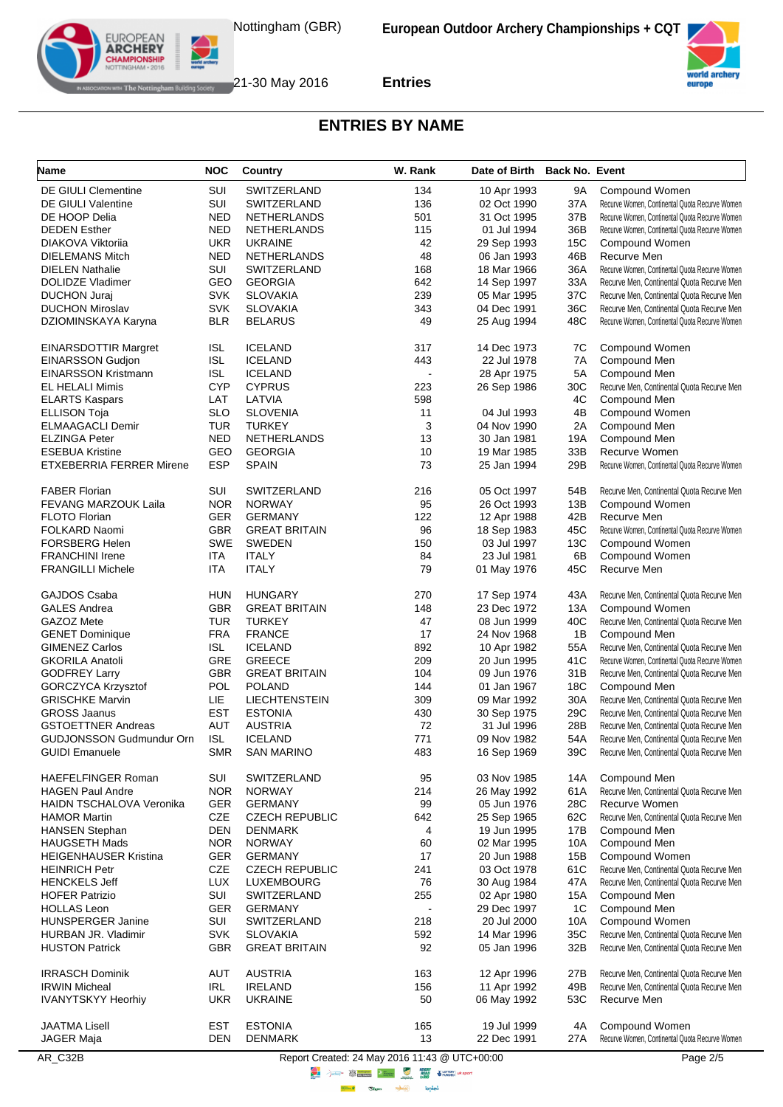



# **ENTRIES BY NAME**

| Name                            | <b>NOC</b>               | Country                          | W. Rank                                                                                                                                                                                                                              | Date of Birth Back No. Event |            |                                                                  |
|---------------------------------|--------------------------|----------------------------------|--------------------------------------------------------------------------------------------------------------------------------------------------------------------------------------------------------------------------------------|------------------------------|------------|------------------------------------------------------------------|
| <b>DE GIULI Clementine</b>      | SUI                      | SWITZERLAND                      | 134                                                                                                                                                                                                                                  | 10 Apr 1993                  | 9Α         | Compound Women                                                   |
| <b>DE GIULI Valentine</b>       | SUI                      | <b>SWITZERLAND</b>               | 136                                                                                                                                                                                                                                  | 02 Oct 1990                  | 37A        | Recurve Women, Continental Quota Recurve Women                   |
| DE HOOP Delia                   | <b>NED</b>               | <b>NETHERLANDS</b>               | 501                                                                                                                                                                                                                                  | 31 Oct 1995                  | 37B        | Recurve Women, Continental Quota Recurve Women                   |
| <b>DEDEN</b> Esther             | <b>NED</b>               | <b>NETHERLANDS</b>               | 115                                                                                                                                                                                                                                  | 01 Jul 1994                  | 36B        | Recurve Women, Continental Quota Recurve Women                   |
| DIAKOVA Viktorija               | <b>UKR</b>               | <b>UKRAINE</b>                   | 42                                                                                                                                                                                                                                   | 29 Sep 1993                  | 15C        | Compound Women                                                   |
| <b>DIELEMANS Mitch</b>          | <b>NED</b>               | NETHERLANDS                      | 48                                                                                                                                                                                                                                   | 06 Jan 1993                  | 46B        | Recurve Men                                                      |
| <b>DIELEN Nathalie</b>          | SUI                      | SWITZERLAND                      | 168                                                                                                                                                                                                                                  | 18 Mar 1966                  | 36A        | Recurve Women, Continental Quota Recurve Women                   |
| DOLIDZE Vladimer                | GEO                      | <b>GEORGIA</b>                   | 642                                                                                                                                                                                                                                  | 14 Sep 1997                  | 33A        | Recurve Men, Continental Quota Recurve Men                       |
| <b>DUCHON Juraj</b>             | <b>SVK</b>               | <b>SLOVAKIA</b>                  | 239                                                                                                                                                                                                                                  | 05 Mar 1995                  | 37C        | Recurve Men, Continental Quota Recurve Men                       |
| <b>DUCHON Miroslav</b>          | <b>SVK</b>               | <b>SLOVAKIA</b>                  | 343                                                                                                                                                                                                                                  | 04 Dec 1991                  | 36C        | Recurve Men, Continental Quota Recurve Men                       |
| DZIOMINSKAYA Karyna             | <b>BLR</b>               | <b>BELARUS</b>                   | 49                                                                                                                                                                                                                                   | 25 Aug 1994                  | 48C        | Recurve Women, Continental Quota Recurve Women                   |
| <b>EINARSDOTTIR Margret</b>     | ISL                      | <b>ICELAND</b>                   | 317                                                                                                                                                                                                                                  | 14 Dec 1973                  | 7C         | Compound Women                                                   |
| <b>EINARSSON Gudjon</b>         | <b>ISL</b>               | <b>ICELAND</b>                   | 443                                                                                                                                                                                                                                  | 22 Jul 1978                  | 7A         | Compound Men                                                     |
| <b>EINARSSON Kristmann</b>      | ISL                      | <b>ICELAND</b>                   | $\overline{\phantom{a}}$                                                                                                                                                                                                             | 28 Apr 1975                  | 5A         | Compound Men                                                     |
| EL HELALI Mimis                 | <b>CYP</b>               | <b>CYPRUS</b>                    | 223                                                                                                                                                                                                                                  | 26 Sep 1986                  | 30C        | Recurve Men, Continental Quota Recurve Men                       |
| <b>ELARTS Kaspars</b>           | LAT                      | LATVIA                           | 598                                                                                                                                                                                                                                  |                              | 4C         | Compound Men                                                     |
| <b>ELLISON Toja</b>             | <b>SLO</b>               | <b>SLOVENIA</b>                  | 11                                                                                                                                                                                                                                   | 04 Jul 1993                  | 4B         | Compound Women                                                   |
| <b>ELMAAGACLI Demir</b>         | TUR                      | <b>TURKEY</b>                    | 3                                                                                                                                                                                                                                    | 04 Nov 1990                  | 2A         | Compound Men                                                     |
| <b>ELZINGA Peter</b>            | <b>NED</b>               | <b>NETHERLANDS</b>               | 13                                                                                                                                                                                                                                   | 30 Jan 1981                  | 19A        | Compound Men                                                     |
| <b>ESEBUA Kristine</b>          | GEO                      | <b>GEORGIA</b>                   | 10                                                                                                                                                                                                                                   | 19 Mar 1985                  | 33B        | Recurve Women                                                    |
| <b>ETXEBERRIA FERRER Mirene</b> | <b>ESP</b>               | <b>SPAIN</b>                     | 73                                                                                                                                                                                                                                   | 25 Jan 1994                  | 29B        | Recurve Women, Continental Quota Recurve Women                   |
|                                 |                          |                                  |                                                                                                                                                                                                                                      |                              |            |                                                                  |
| <b>FABER Florian</b>            | SUI<br><b>NOR</b>        | SWITZERLAND                      | 216<br>95                                                                                                                                                                                                                            | 05 Oct 1997                  | 54B<br>13B | Recurve Men, Continental Quota Recurve Men<br>Compound Women     |
| <b>FEVANG MARZOUK Laila</b>     | <b>GER</b>               | <b>NORWAY</b>                    |                                                                                                                                                                                                                                      | 26 Oct 1993                  | 42B        |                                                                  |
| <b>FLOTO Florian</b>            |                          | <b>GERMANY</b>                   | 122                                                                                                                                                                                                                                  | 12 Apr 1988                  |            | Recurve Men<br>Recurve Women, Continental Quota Recurve Women    |
| FOLKARD Naomi                   | <b>GBR</b>               | <b>GREAT BRITAIN</b>             | 96                                                                                                                                                                                                                                   | 18 Sep 1983                  | 45C        |                                                                  |
| <b>FORSBERG Helen</b>           | <b>SWE</b>               | <b>SWEDEN</b>                    | 150                                                                                                                                                                                                                                  | 03 Jul 1997                  | 13C        | Compound Women                                                   |
| <b>FRANCHINI Irene</b>          | ITA                      | <b>ITALY</b>                     | 84                                                                                                                                                                                                                                   | 23 Jul 1981                  | 6B         | Compound Women                                                   |
| <b>FRANGILLI Michele</b>        | ITA                      | <b>ITALY</b>                     | 79                                                                                                                                                                                                                                   | 01 May 1976                  | 45C        | Recurve Men                                                      |
| GAJDOS Csaba                    | HUN                      | <b>HUNGARY</b>                   | 270                                                                                                                                                                                                                                  | 17 Sep 1974                  | 43A        | Recurve Men, Continental Quota Recurve Men                       |
| <b>GALES Andrea</b>             | <b>GBR</b>               | <b>GREAT BRITAIN</b>             | 148                                                                                                                                                                                                                                  | 23 Dec 1972                  | 13A        | Compound Women                                                   |
| GAZOZ Mete                      | TUR                      | <b>TURKEY</b>                    | 47                                                                                                                                                                                                                                   | 08 Jun 1999                  | 40C        | Recurve Men, Continental Quota Recurve Men                       |
| <b>GENET Dominique</b>          | <b>FRA</b>               | <b>FRANCE</b>                    | 17                                                                                                                                                                                                                                   | 24 Nov 1968                  | 1B         | Compound Men                                                     |
| <b>GIMENEZ Carlos</b>           | ISL                      | <b>ICELAND</b>                   | 892                                                                                                                                                                                                                                  | 10 Apr 1982                  | 55A        | Recurve Men, Continental Quota Recurve Men                       |
| <b>GKORILA Anatoli</b>          | GRE                      | <b>GREECE</b>                    | 209                                                                                                                                                                                                                                  | 20 Jun 1995                  | 41C        | Recurve Women, Continental Quota Recurve Women                   |
| <b>GODFREY Larry</b>            | <b>GBR</b>               | <b>GREAT BRITAIN</b>             | 104                                                                                                                                                                                                                                  | 09 Jun 1976                  | 31B        | Recurve Men, Continental Quota Recurve Men                       |
| <b>GORCZYCA Krzysztof</b>       | POL                      | <b>POLAND</b>                    | 144                                                                                                                                                                                                                                  | 01 Jan 1967                  | 18C        | Compound Men                                                     |
| <b>GRISCHKE Marvin</b>          | LIE                      | <b>LIECHTENSTEIN</b>             | 309                                                                                                                                                                                                                                  | 09 Mar 1992                  | 30A        | Recurve Men, Continental Quota Recurve Men                       |
| <b>GROSS Jaanus</b>             | <b>EST</b>               | <b>ESTONIA</b>                   | 430                                                                                                                                                                                                                                  | 30 Sep 1975                  | 29C        | Recurve Men, Continental Quota Recurve Men                       |
| <b>GSTOETTNER Andreas</b>       | <b>AUT</b>               | <b>AUSTRIA</b>                   | 72                                                                                                                                                                                                                                   | 31 Jul 1996                  | 28B        | Recurve Men, Continental Quota Recurve Men                       |
| GUDJONSSON Gudmundur Orn        | ISL                      | <b>ICELAND</b>                   | 771                                                                                                                                                                                                                                  | 09 Nov 1982                  | 54A        | Recurve Men, Continental Quota Recurve Men                       |
| <b>GUIDI Emanuele</b>           | <b>SMR</b>               | <b>SAN MARINO</b>                | 483                                                                                                                                                                                                                                  | 16 Sep 1969                  | 39C        | Recurve Men, Continental Quota Recurve Men                       |
| <b>HAEFELFINGER Roman</b>       |                          |                                  |                                                                                                                                                                                                                                      |                              |            |                                                                  |
|                                 | SUI<br><b>NOR</b>        | SWITZERLAND                      | 95                                                                                                                                                                                                                                   | 03 Nov 1985                  | 14A        | Compound Men                                                     |
| <b>HAGEN Paul Andre</b>         |                          | <b>NORWAY</b>                    | 214                                                                                                                                                                                                                                  | 26 May 1992                  | 61A        | Recurve Men, Continental Quota Recurve Men                       |
| <b>HAIDN TSCHALOVA Veronika</b> | GER                      | <b>GERMANY</b>                   | 99                                                                                                                                                                                                                                   | 05 Jun 1976                  | 28C        | Recurve Women                                                    |
| <b>HAMOR Martin</b>             | CZE                      | <b>CZECH REPUBLIC</b>            | 642                                                                                                                                                                                                                                  | 25 Sep 1965                  | 62C        | Recurve Men, Continental Quota Recurve Men                       |
| <b>HANSEN Stephan</b>           | <b>DEN</b>               | <b>DENMARK</b>                   | 4                                                                                                                                                                                                                                    | 19 Jun 1995                  | 17B        | Compound Men                                                     |
| <b>HAUGSETH Mads</b>            | <b>NOR</b>               | <b>NORWAY</b>                    | 60                                                                                                                                                                                                                                   | 02 Mar 1995                  | 10A        | Compound Men                                                     |
| <b>HEIGENHAUSER Kristina</b>    | <b>GER</b>               | <b>GERMANY</b>                   | 17                                                                                                                                                                                                                                   | 20 Jun 1988                  | 15B        | Compound Women                                                   |
| <b>HEINRICH Petr</b>            | <b>CZE</b>               | <b>CZECH REPUBLIC</b>            | 241                                                                                                                                                                                                                                  | 03 Oct 1978                  | 61C        | Recurve Men, Continental Quota Recurve Men                       |
| <b>HENCKELS Jeff</b>            | <b>LUX</b>               | LUXEMBOURG                       | 76                                                                                                                                                                                                                                   | 30 Aug 1984                  | 47A        | Recurve Men, Continental Quota Recurve Men                       |
| <b>HOFER Patrizio</b>           | SUI                      | SWITZERLAND                      | 255                                                                                                                                                                                                                                  | 02 Apr 1980                  | 15A        | Compound Men                                                     |
| <b>HOLLAS Leon</b>              | <b>GER</b>               | <b>GERMANY</b>                   | $\blacksquare$                                                                                                                                                                                                                       | 29 Dec 1997                  | 1C         | Compound Men                                                     |
| <b>HUNSPERGER Janine</b>        | SUI                      | SWITZERLAND                      | 218                                                                                                                                                                                                                                  | 20 Jul 2000                  | 10A        | Compound Women                                                   |
| HURBAN JR. Vladimir             | <b>SVK</b>               | <b>SLOVAKIA</b>                  | 592                                                                                                                                                                                                                                  | 14 Mar 1996                  | 35C        | Recurve Men, Continental Quota Recurve Men                       |
| <b>HUSTON Patrick</b>           | <b>GBR</b>               | <b>GREAT BRITAIN</b>             | 92                                                                                                                                                                                                                                   | 05 Jan 1996                  | 32B        | Recurve Men, Continental Quota Recurve Men                       |
| <b>IRRASCH Dominik</b>          | <b>AUT</b>               | <b>AUSTRIA</b>                   | 163                                                                                                                                                                                                                                  | 12 Apr 1996                  | 27B        | Recurve Men, Continental Quota Recurve Men                       |
| <b>IRWIN Micheal</b>            | IRL                      | <b>IRELAND</b>                   | 156                                                                                                                                                                                                                                  | 11 Apr 1992                  | 49B        | Recurve Men, Continental Quota Recurve Men                       |
| <b>IVANYTSKYY Heorhiy</b>       | <b>UKR</b>               | <b>UKRAINE</b>                   | 50                                                                                                                                                                                                                                   | 06 May 1992                  | 53C        | Recurve Men                                                      |
| <b>JAATMA Lisell</b>            |                          |                                  |                                                                                                                                                                                                                                      |                              |            |                                                                  |
| JAGER Maja                      | <b>EST</b><br><b>DEN</b> | <b>ESTONIA</b><br><b>DENMARK</b> | 165<br>13                                                                                                                                                                                                                            | 19 Jul 1999<br>22 Dec 1991   | 4А<br>27A  | Compound Women<br>Recurve Women, Continental Quota Recurve Women |
| AR_C32B                         |                          |                                  | Report Created: 24 May 2016 11:43 @ UTC+00:00                                                                                                                                                                                        |                              |            | Page 2/5                                                         |
|                                 |                          |                                  | <b>Contact of the Contact of Second Lines Contact Second Second Second Second Second Second Second Second Second Second Second Second Second Second Second Second Second Second Second Second Second Second Second Second Second</b> |                              |            |                                                                  |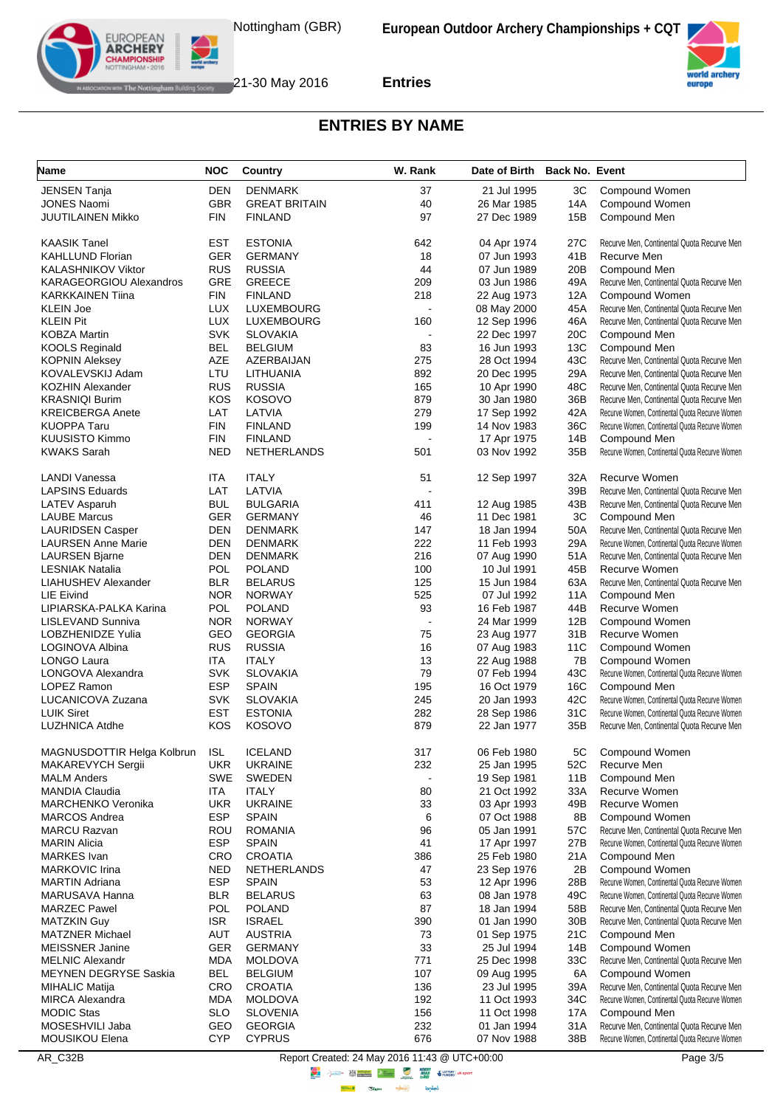



#### **ENTRIES BY NAME**

| Name                                           | <b>NOC</b>               | Country                  | W. Rank                  | Date of Birth Back No. Event |            |                                                                                                  |
|------------------------------------------------|--------------------------|--------------------------|--------------------------|------------------------------|------------|--------------------------------------------------------------------------------------------------|
| <b>JENSEN Tanja</b>                            | <b>DEN</b>               | <b>DENMARK</b>           | 37                       | 21 Jul 1995                  | ЗC         | Compound Women                                                                                   |
| <b>JONES Naomi</b>                             | <b>GBR</b>               | <b>GREAT BRITAIN</b>     | 40                       | 26 Mar 1985                  | 14A        | Compound Women                                                                                   |
| JUUTILAINEN Mikko                              | <b>FIN</b>               | <b>FINLAND</b>           | 97                       | 27 Dec 1989                  | 15B        | Compound Men                                                                                     |
| <b>KAASIK Tanel</b>                            | <b>EST</b>               | <b>ESTONIA</b>           | 642                      | 04 Apr 1974                  | 27C        | Recurve Men, Continental Quota Recurve Men                                                       |
| <b>KAHLLUND Florian</b>                        | <b>GER</b>               | <b>GERMANY</b>           | 18                       | 07 Jun 1993                  | 41B        | Recurve Men                                                                                      |
| <b>KALASHNIKOV Viktor</b>                      | <b>RUS</b>               | <b>RUSSIA</b>            | 44                       | 07 Jun 1989                  | 20B        | Compound Men                                                                                     |
| KARAGEORGIOU Alexandros                        | GRE                      | <b>GREECE</b>            | 209                      | 03 Jun 1986                  | 49A        | Recurve Men, Continental Quota Recurve Men                                                       |
| <b>KARKKAINEN Tiina</b>                        | <b>FIN</b>               | <b>FINLAND</b>           | 218                      | 22 Aug 1973                  | 12A        | Compound Women                                                                                   |
| <b>KLEIN Joe</b>                               | <b>LUX</b>               | LUXEMBOURG               |                          | 08 May 2000                  | 45A        | Recurve Men, Continental Quota Recurve Men                                                       |
| <b>KLEIN Pit</b>                               | <b>LUX</b>               | <b>LUXEMBOURG</b>        | 160                      | 12 Sep 1996                  | 46A        | Recurve Men, Continental Quota Recurve Men                                                       |
| <b>KOBZA Martin</b>                            | <b>SVK</b>               | <b>SLOVAKIA</b>          |                          | 22 Dec 1997                  | 20C        | Compound Men                                                                                     |
| <b>KOOLS Reginald</b>                          | <b>BEL</b>               | <b>BELGIUM</b>           | 83                       | 16 Jun 1993                  | 13C        | Compound Men                                                                                     |
| <b>KOPNIN Aleksey</b>                          | AZE                      | AZERBAIJAN               | 275                      | 28 Oct 1994                  | 43C        | Recurve Men, Continental Quota Recurve Men                                                       |
| KOVALEVSKIJ Adam                               | LTU                      | LITHUANIA                | 892                      | 20 Dec 1995                  | 29A        | Recurve Men, Continental Quota Recurve Men                                                       |
| <b>KOZHIN Alexander</b>                        | <b>RUS</b>               | <b>RUSSIA</b>            | 165                      | 10 Apr 1990                  | 48C        | Recurve Men, Continental Quota Recurve Men                                                       |
| <b>KRASNIQI Burim</b>                          | KOS                      | <b>KOSOVO</b>            | 879                      | 30 Jan 1980                  | 36B        | Recurve Men, Continental Quota Recurve Men                                                       |
| <b>KREICBERGA Anete</b><br><b>KUOPPA Taru</b>  | LAT<br><b>FIN</b>        | LATVIA<br><b>FINLAND</b> | 279<br>199               | 17 Sep 1992<br>14 Nov 1983   | 42A<br>36C | Recurve Women, Continental Quota Recurve Women<br>Recurve Women, Continental Quota Recurve Women |
| <b>KUUSISTO Kimmo</b>                          | <b>FIN</b>               | <b>FINLAND</b>           |                          | 17 Apr 1975                  | 14B        | Compound Men                                                                                     |
| <b>KWAKS Sarah</b>                             | <b>NED</b>               | NETHERLANDS              | 501                      | 03 Nov 1992                  | 35B        | Recurve Women, Continental Quota Recurve Women                                                   |
|                                                |                          |                          |                          |                              |            |                                                                                                  |
| <b>LANDI Vanessa</b><br><b>LAPSINS Eduards</b> | ITA<br>LAT               | <b>ITALY</b><br>LATVIA   | 51                       | 12 Sep 1997                  | 32A<br>39B | Recurve Women<br>Recurve Men, Continental Quota Recurve Men                                      |
| LATEV Asparuh                                  | <b>BUL</b>               | <b>BULGARIA</b>          | 411                      | 12 Aug 1985                  | 43B        | Recurve Men, Continental Quota Recurve Men                                                       |
| <b>LAUBE Marcus</b>                            | <b>GER</b>               | <b>GERMANY</b>           | 46                       | 11 Dec 1981                  | 3C         | Compound Men                                                                                     |
| <b>LAURIDSEN Casper</b>                        | <b>DEN</b>               | <b>DENMARK</b>           | 147                      | 18 Jan 1994                  | 50A        | Recurve Men, Continental Quota Recurve Men                                                       |
| <b>LAURSEN Anne Marie</b>                      | <b>DEN</b>               | <b>DENMARK</b>           | 222                      | 11 Feb 1993                  | 29A        | Recurve Women, Continental Quota Recurve Women                                                   |
| <b>LAURSEN Bjarne</b>                          | <b>DEN</b>               | <b>DENMARK</b>           | 216                      | 07 Aug 1990                  | 51A        | Recurve Men, Continental Quota Recurve Men                                                       |
| <b>LESNIAK Natalia</b>                         | POL                      | <b>POLAND</b>            | 100                      | 10 Jul 1991                  | 45B        | Recurve Women                                                                                    |
| <b>LIAHUSHEV Alexander</b>                     | <b>BLR</b>               | <b>BELARUS</b>           | 125                      | 15 Jun 1984                  | 63A        | Recurve Men, Continental Quota Recurve Men                                                       |
| LIE Eivind                                     | <b>NOR</b>               | <b>NORWAY</b>            | 525                      | 07 Jul 1992                  | 11A        | Compound Men                                                                                     |
| LIPIARSKA-PALKA Karina                         | <b>POL</b>               | <b>POLAND</b>            | 93                       | 16 Feb 1987                  | 44B        | Recurve Women                                                                                    |
| LISLEVAND Sunniva                              | <b>NOR</b>               | <b>NORWAY</b>            | $\overline{\phantom{a}}$ | 24 Mar 1999                  | 12B        | Compound Women                                                                                   |
| LOBZHENIDZE Yulia                              | GEO                      | <b>GEORGIA</b>           | 75                       | 23 Aug 1977                  | 31B        | Recurve Women                                                                                    |
| LOGINOVA Albina                                | <b>RUS</b>               | <b>RUSSIA</b>            | 16                       | 07 Aug 1983                  | 11C        | Compound Women                                                                                   |
| LONGO Laura                                    | ITA                      | <b>ITALY</b>             | 13                       | 22 Aug 1988                  | 7B         | Compound Women                                                                                   |
| LONGOVA Alexandra                              | <b>SVK</b>               | <b>SLOVAKIA</b>          | 79                       | 07 Feb 1994                  | 43C        | Recurve Women, Continental Quota Recurve Women                                                   |
| LOPEZ Ramon                                    | <b>ESP</b>               | <b>SPAIN</b>             | 195                      | 16 Oct 1979                  | 16C        | Compound Men                                                                                     |
| LUCANICOVA Zuzana                              | <b>SVK</b>               | <b>SLOVAKIA</b>          | 245                      | 20 Jan 1993                  | 42C        | Recurve Women, Continental Quota Recurve Women                                                   |
| <b>LUIK Siret</b>                              | <b>EST</b>               | <b>ESTONIA</b>           | 282                      | 28 Sep 1986                  | 31C        | Recurve Women, Continental Quota Recurve Women                                                   |
| <b>LUZHNICA Atdhe</b>                          | <b>KOS</b>               | <b>KOSOVO</b>            | 879                      | 22 Jan 1977                  | 35B        | Recurve Men, Continental Quota Recurve Men                                                       |
| MAGNUSDOTTIR Helga Kolbrun                     | <b>ISL</b>               | <b>ICELAND</b>           | 317                      | 06 Feb 1980                  | 5C         | Compound Women                                                                                   |
| MAKAREVYCH Sergii                              | <b>UKR</b>               | <b>UKRAINE</b>           | 232                      | 25 Jan 1995                  | 52C        | Recurve Men                                                                                      |
| <b>MALM Anders</b>                             | <b>SWE</b>               | <b>SWEDEN</b>            |                          | 19 Sep 1981                  | 11B        | Compound Men                                                                                     |
| <b>MANDIA Claudia</b>                          | ITA                      | ITALY                    | 80                       | 21 Oct 1992                  | 33A        | Recurve Women                                                                                    |
| <b>MARCHENKO Veronika</b>                      | <b>UKR</b>               | <b>UKRAINE</b>           | 33                       | 03 Apr 1993                  | 49B        | Recurve Women                                                                                    |
| <b>MARCOS Andrea</b>                           | <b>ESP</b>               | <b>SPAIN</b>             | 6                        | 07 Oct 1988                  | 8B         | Compound Women                                                                                   |
| <b>MARCU Razvan</b>                            | <b>ROU</b>               | <b>ROMANIA</b>           | 96                       | 05 Jan 1991                  | 57C        | Recurve Men, Continental Quota Recurve Men                                                       |
| <b>MARIN Alicia</b><br><b>MARKES</b> Ivan      | <b>ESP</b><br><b>CRO</b> | <b>SPAIN</b>             | 41<br>386                | 17 Apr 1997                  | 27B<br>21A | Recurve Women, Continental Quota Recurve Women                                                   |
| <b>MARKOVIC Irina</b>                          | <b>NED</b>               | CROATIA<br>NETHERLANDS   | 47                       | 25 Feb 1980<br>23 Sep 1976   | 2B         | Compound Men<br>Compound Women                                                                   |
| <b>MARTIN Adriana</b>                          | <b>ESP</b>               | <b>SPAIN</b>             | 53                       | 12 Apr 1996                  | 28B        | Recurve Women, Continental Quota Recurve Women                                                   |
| MARUSAVA Hanna                                 | <b>BLR</b>               | <b>BELARUS</b>           | 63                       | 08 Jan 1978                  | 49C        | Recurve Women, Continental Quota Recurve Women                                                   |
| <b>MARZEC Pawel</b>                            | <b>POL</b>               | <b>POLAND</b>            | 87                       | 18 Jan 1994                  | 58B        | Recurve Men. Continental Quota Recurve Men                                                       |
| <b>MATZKIN Guy</b>                             | <b>ISR</b>               | <b>ISRAEL</b>            | 390                      | 01 Jan 1990                  | 30B        | Recurve Men, Continental Quota Recurve Men                                                       |
| <b>MATZNER Michael</b>                         | <b>AUT</b>               | <b>AUSTRIA</b>           | 73                       | 01 Sep 1975                  | 21C        | Compound Men                                                                                     |
| <b>MEISSNER Janine</b>                         | GER                      | <b>GERMANY</b>           | 33                       | 25 Jul 1994                  | 14B        | Compound Women                                                                                   |
| <b>MELNIC Alexandr</b>                         | <b>MDA</b>               | <b>MOLDOVA</b>           | 771                      | 25 Dec 1998                  | 33C        | Recurve Men, Continental Quota Recurve Men                                                       |
| <b>MEYNEN DEGRYSE Saskia</b>                   | <b>BEL</b>               | <b>BELGIUM</b>           | 107                      | 09 Aug 1995                  | 6A         | Compound Women                                                                                   |
| MIHALIC Matija                                 | CRO                      | <b>CROATIA</b>           | 136                      | 23 Jul 1995                  | 39A        | Recurve Men, Continental Quota Recurve Men                                                       |
| <b>MIRCA Alexandra</b>                         | <b>MDA</b>               | <b>MOLDOVA</b>           | 192                      | 11 Oct 1993                  | 34C        | Recurve Women, Continental Quota Recurve Women                                                   |
| <b>MODIC Stas</b>                              | <b>SLO</b>               | <b>SLOVENIA</b>          | 156                      | 11 Oct 1998                  | 17A        | Compound Men                                                                                     |
| MOSESHVILI Jaba                                | GEO                      | <b>GEORGIA</b>           | 232                      | 01 Jan 1994                  | 31A        | Recurve Men, Continental Quota Recurve Men                                                       |
| MOUSIKOU Elena                                 | <b>CYP</b>               | <b>CYPRUS</b>            | 676                      | 07 Nov 1988                  | 38B        | Recurve Women, Continental Quota Recurve Women                                                   |

AR\_C32B Report Created: 24 May 2016 11:43 @ UTC+00:00 Page 3/5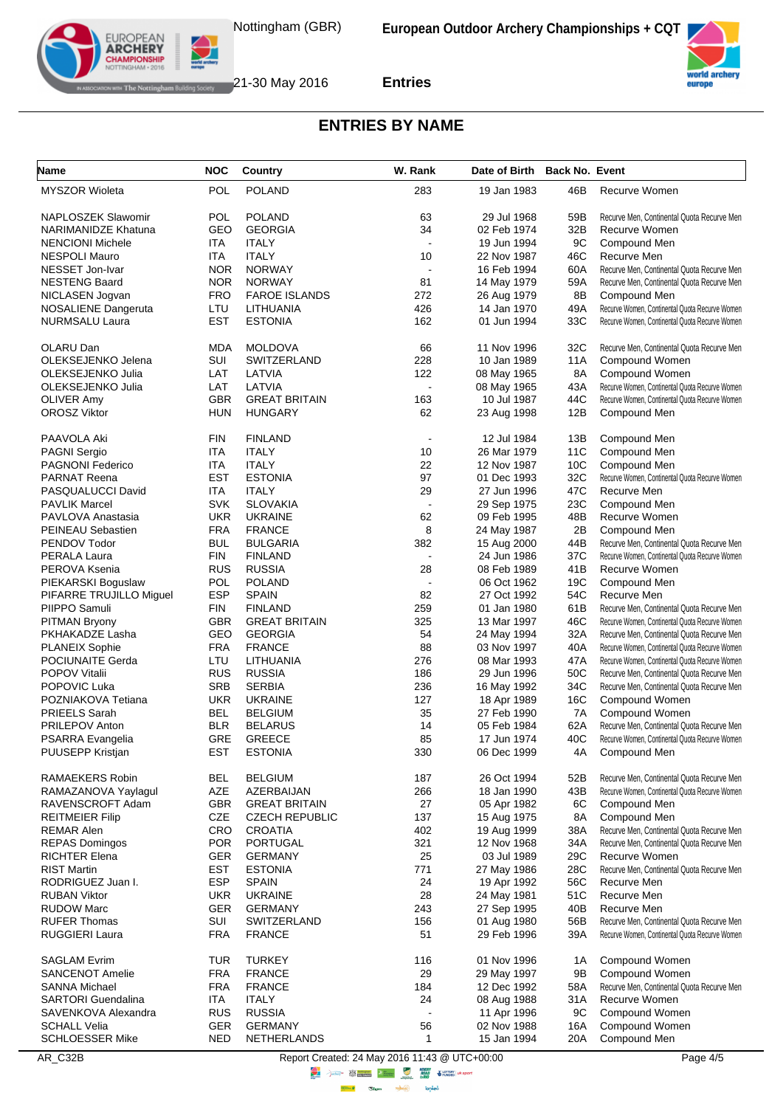



# **ENTRIES BY NAME**

| Name                                          | <b>NOC</b>        | Country                              | W. Rank                                                                                          | Date of Birth Back No. Event |                 |                                                                                              |
|-----------------------------------------------|-------------------|--------------------------------------|--------------------------------------------------------------------------------------------------|------------------------------|-----------------|----------------------------------------------------------------------------------------------|
| <b>MYSZOR Wioleta</b>                         | POL               | <b>POLAND</b>                        | 283                                                                                              | 19 Jan 1983                  | 46B             | Recurve Women                                                                                |
| NAPLOSZEK Slawomir                            | <b>POL</b>        | <b>POLAND</b>                        | 63                                                                                               | 29 Jul 1968                  | 59B             | Recurve Men, Continental Quota Recurve Men                                                   |
| <b>NARIMANIDZE Khatuna</b>                    | GEO               | <b>GEORGIA</b>                       | 34                                                                                               | 02 Feb 1974                  | 32B             | Recurve Women                                                                                |
| <b>NENCIONI Michele</b>                       | ITA               | <b>ITALY</b>                         |                                                                                                  | 19 Jun 1994                  | 9C              | Compound Men                                                                                 |
| <b>NESPOLI Mauro</b>                          | ITA               | <b>ITALY</b>                         | 10                                                                                               | 22 Nov 1987                  | 46C             | Recurve Men                                                                                  |
| NESSET Jon-Ivar                               | <b>NOR</b>        | <b>NORWAY</b>                        |                                                                                                  | 16 Feb 1994                  | 60A             | Recurve Men, Continental Quota Recurve Men                                                   |
| <b>NESTENG Baard</b>                          | <b>NOR</b>        | <b>NORWAY</b>                        | 81                                                                                               | 14 May 1979                  | 59A             | Recurve Men, Continental Quota Recurve Men                                                   |
| NICLASEN Jogvan                               | <b>FRO</b>        | <b>FAROE ISLANDS</b>                 | 272                                                                                              | 26 Aug 1979                  | 8B              | Compound Men                                                                                 |
| <b>NOSALIENE Dangeruta</b>                    | LTU               | LITHUANIA                            | 426                                                                                              | 14 Jan 1970                  | 49A             | Recurve Women, Continental Quota Recurve Women                                               |
| NURMSALU Laura                                | <b>EST</b>        | <b>ESTONIA</b>                       | 162                                                                                              | 01 Jun 1994                  | 33C             | Recurve Women, Continental Quota Recurve Women                                               |
| OLARU Dan                                     | <b>MDA</b>        | <b>MOLDOVA</b>                       | 66                                                                                               | 11 Nov 1996                  | 32C             | Recurve Men, Continental Quota Recurve Men                                                   |
| OLEKSEJENKO Jelena                            | SUI               | SWITZERLAND                          | 228                                                                                              | 10 Jan 1989                  | 11A             | Compound Women                                                                               |
| OLEKSEJENKO Julia                             | LAT               | LATVIA                               | 122                                                                                              | 08 May 1965                  | 8A              | Compound Women                                                                               |
| OLEKSEJENKO Julia                             | LAT               | LATVIA                               |                                                                                                  | 08 May 1965                  | 43A             | Recurve Women, Continental Quota Recurve Women                                               |
| <b>OLIVER Amy</b>                             | <b>GBR</b>        | <b>GREAT BRITAIN</b>                 | 163                                                                                              | 10 Jul 1987                  | 44C             | Recurve Women, Continental Quota Recurve Women                                               |
| <b>OROSZ Viktor</b>                           | HUN               | <b>HUNGARY</b>                       | 62                                                                                               | 23 Aug 1998                  | 12B             | Compound Men                                                                                 |
| PAAVOLA Aki                                   | <b>FIN</b>        | <b>FINLAND</b>                       | $\sim$                                                                                           | 12 Jul 1984                  | 13B             | Compound Men                                                                                 |
| <b>PAGNI Sergio</b>                           | ITA               | <b>ITALY</b>                         | 10                                                                                               | 26 Mar 1979                  | 11C             | Compound Men                                                                                 |
| <b>PAGNONI Federico</b>                       | ITA               | <b>ITALY</b>                         | 22                                                                                               | 12 Nov 1987                  | 10 <sub>C</sub> | Compound Men                                                                                 |
| <b>PARNAT Reena</b>                           | <b>EST</b>        | <b>ESTONIA</b>                       | 97                                                                                               | 01 Dec 1993                  | 32C             | Recurve Women, Continental Quota Recurve Women                                               |
| PASQUALUCCI David                             | ITA               | <b>ITALY</b>                         | 29                                                                                               | 27 Jun 1996                  | 47C             | Recurve Men                                                                                  |
| <b>PAVLIK Marcel</b>                          | <b>SVK</b>        | <b>SLOVAKIA</b>                      |                                                                                                  | 29 Sep 1975                  | 23C             | Compound Men                                                                                 |
| PAVLOVA Anastasia                             | <b>UKR</b>        | <b>UKRAINE</b>                       | 62                                                                                               | 09 Feb 1995                  | 48B             | Recurve Women                                                                                |
| <b>PEINEAU Sebastien</b>                      | <b>FRA</b>        | <b>FRANCE</b>                        | 8                                                                                                | 24 May 1987                  | 2Β              | Compound Men                                                                                 |
| PENDOV Todor                                  | <b>BUL</b>        | <b>BULGARIA</b>                      | 382                                                                                              | 15 Aug 2000                  | 44B             | Recurve Men, Continental Quota Recurve Men                                                   |
| PERALA Laura                                  | <b>FIN</b>        | <b>FINLAND</b>                       |                                                                                                  | 24 Jun 1986                  | 37C             | Recurve Women, Continental Quota Recurve Women                                               |
| PEROVA Ksenia<br>PIEKARSKI Boguslaw           | <b>RUS</b><br>POL | <b>RUSSIA</b><br><b>POLAND</b>       | 28                                                                                               | 08 Feb 1989<br>06 Oct 1962   | 41B<br>19C      | Recurve Women<br>Compound Men                                                                |
| PIFARRE TRUJILLO Miguel                       | <b>ESP</b>        | <b>SPAIN</b>                         | 82                                                                                               | 27 Oct 1992                  | 54C             | Recurve Men                                                                                  |
| PIIPPO Samuli                                 | <b>FIN</b>        | <b>FINLAND</b>                       | 259                                                                                              | 01 Jan 1980                  | 61B             | Recurve Men, Continental Quota Recurve Men                                                   |
| <b>PITMAN Bryony</b>                          | <b>GBR</b>        | <b>GREAT BRITAIN</b>                 | 325                                                                                              | 13 Mar 1997                  | 46C             | Recurve Women, Continental Quota Recurve Women                                               |
| PKHAKADZE Lasha                               | GEO               | <b>GEORGIA</b>                       | 54                                                                                               | 24 May 1994                  | 32A             | Recurve Men, Continental Quota Recurve Men                                                   |
| <b>PLANEIX Sophie</b>                         | <b>FRA</b>        | <b>FRANCE</b>                        | 88                                                                                               | 03 Nov 1997                  | 40A             | Recurve Women, Continental Quota Recurve Women                                               |
| POCIUNAITE Gerda                              | LTU               | LITHUANIA                            | 276                                                                                              | 08 Mar 1993                  | 47A             | Recurve Women, Continental Quota Recurve Women                                               |
| <b>POPOV Vitalii</b>                          | <b>RUS</b>        | <b>RUSSIA</b>                        | 186                                                                                              | 29 Jun 1996                  | 50C             | Recurve Men, Continental Quota Recurve Men                                                   |
| POPOVIC Luka                                  | <b>SRB</b>        | <b>SERBIA</b>                        | 236                                                                                              | 16 May 1992                  | 34C             | Recurve Men, Continental Quota Recurve Men                                                   |
| POZNIAKOVA Tetiana                            | <b>UKR</b>        | <b>UKRAINE</b>                       | 127                                                                                              | 18 Apr 1989                  | 16C             | Compound Women                                                                               |
| <b>PRIEELS Sarah</b>                          | BEL               | <b>BELGIUM</b>                       | 35                                                                                               | 27 Feb 1990                  | 7A              | Compound Women                                                                               |
| PRILEPOV Anton                                | <b>BLR</b>        | <b>BELARUS</b>                       | 14                                                                                               | 05 Feb 1984                  | 62A             | Recurve Men, Continental Quota Recurve Men                                                   |
| PSARRA Evangelia                              | GRE               | <b>GREECE</b>                        | 85                                                                                               | 17 Jun 1974                  | 40C             | Recurve Women, Continental Quota Recurve Women                                               |
| PUUSEPP Kristjan                              | EST               | <b>ESTONIA</b>                       | 330                                                                                              | 06 Dec 1999                  | 4A              | Compound Men                                                                                 |
| RAMAEKERS Robin                               | <b>BEL</b>        | <b>BELGIUM</b>                       | 187                                                                                              | 26 Oct 1994                  | 52B             | Recurve Men, Continental Quota Recurve Men                                                   |
| RAMAZANOVA Yaylagul                           | <b>AZE</b>        | AZERBAIJAN                           | 266                                                                                              | 18 Jan 1990                  | 43B             | Recurve Women, Continental Quota Recurve Women                                               |
| RAVENSCROFT Adam                              | <b>GBR</b>        | <b>GREAT BRITAIN</b>                 | 27                                                                                               | 05 Apr 1982                  | 6C              | Compound Men                                                                                 |
| <b>REITMEIER Filip</b>                        | <b>CZE</b>        | <b>CZECH REPUBLIC</b>                | 137                                                                                              | 15 Aug 1975                  | 8A              | Compound Men                                                                                 |
| <b>REMAR Alen</b>                             | CRO               | <b>CROATIA</b>                       | 402                                                                                              | 19 Aug 1999                  | 38A             | Recurve Men, Continental Quota Recurve Men                                                   |
| <b>REPAS Domingos</b>                         | <b>POR</b>        | <b>PORTUGAL</b>                      | 321                                                                                              | 12 Nov 1968                  | 34A             | Recurve Men. Continental Quota Recurve Men                                                   |
| <b>RICHTER Elena</b>                          | GER               | <b>GERMANY</b>                       | 25                                                                                               | 03 Jul 1989                  | 29C             | Recurve Women                                                                                |
| <b>RIST Martin</b>                            | <b>EST</b>        | <b>ESTONIA</b>                       | 771                                                                                              | 27 May 1986                  | 28C             | Recurve Men, Continental Quota Recurve Men                                                   |
| RODRIGUEZ Juan I.                             | <b>ESP</b>        | <b>SPAIN</b>                         | 24                                                                                               | 19 Apr 1992                  | 56C             | Recurve Men                                                                                  |
| <b>RUBAN Viktor</b>                           | <b>UKR</b>        | <b>UKRAINE</b>                       | 28                                                                                               | 24 May 1981                  | 51C             | Recurve Men                                                                                  |
| <b>RUDOW Marc</b>                             | <b>GER</b><br>SUI | <b>GERMANY</b>                       | 243                                                                                              | 27 Sep 1995                  | 40B             | Recurve Men                                                                                  |
| <b>RUFER Thomas</b><br>RUGGIERI Laura         | <b>FRA</b>        | SWITZERLAND<br><b>FRANCE</b>         | 156<br>51                                                                                        | 01 Aug 1980<br>29 Feb 1996   | 56B<br>39A      | Recurve Men, Continental Quota Recurve Men<br>Recurve Women, Continental Quota Recurve Women |
|                                               |                   |                                      |                                                                                                  |                              |                 |                                                                                              |
| <b>SAGLAM Evrim</b>                           | <b>TUR</b>        | <b>TURKEY</b>                        | 116                                                                                              | 01 Nov 1996                  | 1A              | Compound Women                                                                               |
| <b>SANCENOT Amelie</b>                        | <b>FRA</b>        | <b>FRANCE</b>                        | 29                                                                                               | 29 May 1997                  | 9Β              | Compound Women                                                                               |
| <b>SANNA Michael</b>                          | <b>FRA</b>        | <b>FRANCE</b>                        | 184                                                                                              | 12 Dec 1992                  | 58A             | Recurve Men, Continental Quota Recurve Men                                                   |
| <b>SARTORI</b> Guendalina                     | ITA.              | <b>ITALY</b>                         | 24                                                                                               | 08 Aug 1988                  | 31A             | Recurve Women                                                                                |
| SAVENKOVA Alexandra                           | <b>RUS</b>        | <b>RUSSIA</b>                        |                                                                                                  | 11 Apr 1996                  | 9C              | Compound Women                                                                               |
| <b>SCHALL Velia</b><br><b>SCHLOESSER Mike</b> | GER<br><b>NED</b> | <b>GERMANY</b><br><b>NETHERLANDS</b> | 56<br>1                                                                                          | 02 Nov 1988<br>15 Jan 1994   | 16A<br>20A      | Compound Women<br>Compound Men                                                               |
| AR_C32B                                       |                   |                                      | Report Created: 24 May 2016 11:43 @ UTC+00:00                                                    |                              |                 | Page 4/5                                                                                     |
|                                               |                   |                                      | <b>CALCULATER AND SEVERY ARTISTS AND SEVERY ARTISTS OF A PROPERTY AND SEVERE AREA CALCULATED</b> |                              |                 |                                                                                              |

**lensed** 

 $\mathcal{O}_{\mathit{logm}}$  $\frac{1}{\sqrt{2}}$ 

**Highway**